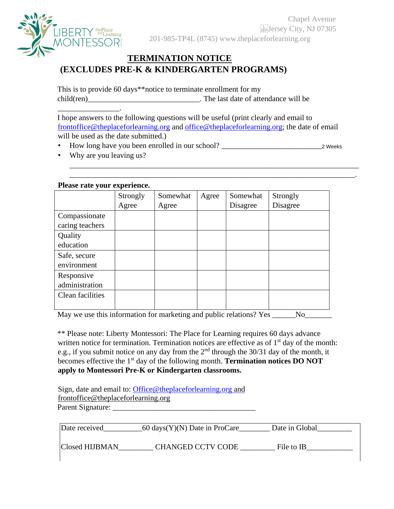

## **TERMINATION NOTICE (EXCLUDES PRE-K & KINDERGARTEN PROGRAMS)**

This is to provide 60 days\*\*notice to terminate enrollment for my child(ren) The last date of attendance will be

I hope answers to the following questions will be useful (print clearly and email to frontoffice@theplaceforlearning.org and office@theplaceforlearning.org; the date of email will be used as the date submitted.)

\_\_\_\_\_\_\_\_\_\_\_\_\_\_\_\_\_\_\_\_\_\_\_\_\_\_\_\_\_\_\_\_\_\_\_\_\_\_\_\_\_\_\_\_\_\_\_\_\_\_\_\_\_\_\_\_\_\_\_\_\_\_\_\_\_\_\_\_\_\_\_\_\_\_\_ \_\_\_\_\_\_\_\_\_\_\_\_\_\_\_\_\_\_\_\_\_\_\_\_\_\_\_\_\_\_\_\_\_\_\_\_\_\_\_\_\_\_\_\_\_\_\_\_\_\_\_\_\_\_\_\_\_\_\_\_\_\_\_\_\_\_\_\_\_\_\_\_\_\_.

• How long have you been enrolled in our school? \_\_\_\_\_\_\_\_\_\_\_\_\_\_\_\_\_\_\_\_\_\_\_\_\_\_2 Weeks

• Why are you leaving us?

\_\_\_\_\_\_\_\_\_\_\_\_\_\_\_\_.

## **Please rate your experience.**

|                  | Strongly | Somewhat | Agree | Somewhat | Strongly |
|------------------|----------|----------|-------|----------|----------|
|                  | Agree    | Agree    |       | Disagree | Disagree |
| Compassionate    |          |          |       |          |          |
| caring teachers  |          |          |       |          |          |
| Quality          |          |          |       |          |          |
| education        |          |          |       |          |          |
| Safe, secure     |          |          |       |          |          |
| environment      |          |          |       |          |          |
| Responsive       |          |          |       |          |          |
| administration   |          |          |       |          |          |
| Clean facilities |          |          |       |          |          |
|                  |          |          |       |          |          |

May we use this information for marketing and public relations? Yes \_\_\_\_\_No\_\_\_\_\_\_

\*\* Please note: Liberty Montessori: The Place for Learning requires 60 days advance written notice for termination. Termination notices are effective as of  $1<sup>st</sup>$  day of the month: e.g., if you submit notice on any day from the  $2<sup>nd</sup>$  through the 30/31 day of the month, it becomes effective the 1st day of the following month. **Termination notices DO NOT apply to Montessori Pre-K or Kindergarten classrooms.**

| Sign, date and email to: Office@theplaceforlearning.org and |  |
|-------------------------------------------------------------|--|
| frontoffice@theplaceforlearning.org                         |  |
| Parent Signature:                                           |  |

| Date received  | 60 days(Y)(N) Date in ProCare | Date in Global |
|----------------|-------------------------------|----------------|
| Closed HIJBMAN | <b>CHANGED CCTV CODE</b>      | File to IB     |